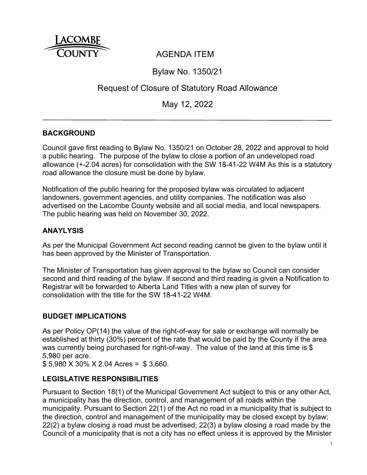

# AGENDA ITEM

## Bylaw No. 1350/21

# Request of Closure of Statutory Road Allowance

May 12, 2022

### **BACKGROUND**

Council gave first reading to Bylaw No. 1350/21 on October 28, 2022 and approval to hold a public hearing. The purpose of the bylaw to close a portion of an undeveloped road allowance (+-2.04 acres) for consolidation with the SW 18-41-22 W4M As this is a statutory road allowance the closure must be done by bylaw.

Notification of the public hearing for the proposed bylaw was circulated to adjacent landowners, government agencies, and utility companies. The notification was also advertised on the Lacombe County website and all social media, and local newspapers. The public hearing was held on November 30, 2022.

### **ANAYLYSIS**

As per the Municipal Government Act second reading cannot be given to the bylaw until it has been approved by the Minister of Transportation.

The Minister of Transportation has given approval to the bylaw so Council can consider second and third reading of the bylaw. If second and third reading is given a Notification to Registrar will be forwarded to Alberta Land Titles with a new plan of survey for consolidation with the title for the SW 18-41-22 W4M.

#### **BUDGET IMPLICATIONS**

As per Policy OP(14) the value of the right-of-way for sale or exchange will normally be established at thirty (30%) percent of the rate that would be paid by the County if the area was currently being purchased for right-of-way. The value of the land at this time is \$ 5,980 per acre.

\$ 5,980 X 30% X 2.04 Acres = \$ 3,660.

### **LEGISLATIVE RESPONSIBILITIES**

Pursuant to Section 18(1) of the Municipal Government Act subject to this or any other Act, a municipality has the direction, control, and management of all roads within the municipality. Pursuant to Section 22(1) of the Act no road in a municipality that is subject to the direction, control and management of the municipality may be closed except by bylaw; 22(2) a bylaw closing a road must be advertised; 22(3) a bylaw closing a road made by the Council of a municipality that is not a city has no effect unless it is approved by the Minister